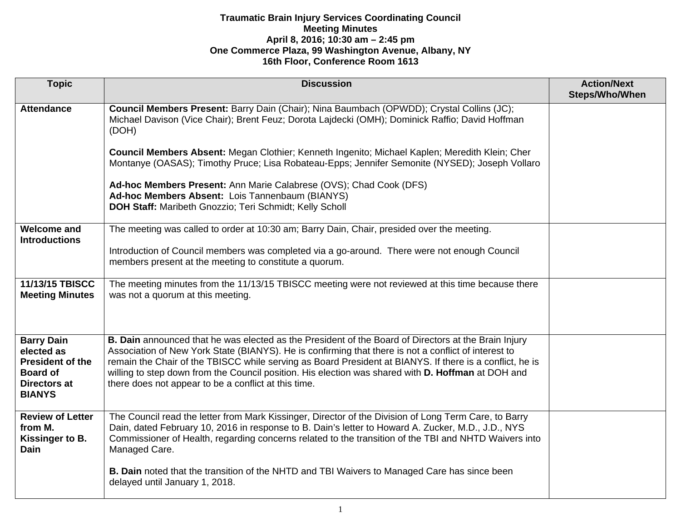| <b>Topic</b>                                                                                                          | <b>Discussion</b>                                                                                                                                                                                                                                                                                                                                                                                                                                                                      | <b>Action/Next</b><br>Steps/Who/When |
|-----------------------------------------------------------------------------------------------------------------------|----------------------------------------------------------------------------------------------------------------------------------------------------------------------------------------------------------------------------------------------------------------------------------------------------------------------------------------------------------------------------------------------------------------------------------------------------------------------------------------|--------------------------------------|
| <b>Attendance</b>                                                                                                     | Council Members Present: Barry Dain (Chair); Nina Baumbach (OPWDD); Crystal Collins (JC);<br>Michael Davison (Vice Chair); Brent Feuz; Dorota Lajdecki (OMH); Dominick Raffio; David Hoffman<br>(DOH)                                                                                                                                                                                                                                                                                  |                                      |
|                                                                                                                       | Council Members Absent: Megan Clothier; Kenneth Ingenito; Michael Kaplen; Meredith Klein; Cher<br>Montanye (OASAS); Timothy Pruce; Lisa Robateau-Epps; Jennifer Semonite (NYSED); Joseph Vollaro                                                                                                                                                                                                                                                                                       |                                      |
|                                                                                                                       | Ad-hoc Members Present: Ann Marie Calabrese (OVS); Chad Cook (DFS)<br>Ad-hoc Members Absent: Lois Tannenbaum (BIANYS)<br>DOH Staff: Maribeth Gnozzio; Teri Schmidt; Kelly Scholl                                                                                                                                                                                                                                                                                                       |                                      |
| <b>Welcome and</b><br><b>Introductions</b>                                                                            | The meeting was called to order at 10:30 am; Barry Dain, Chair, presided over the meeting.                                                                                                                                                                                                                                                                                                                                                                                             |                                      |
|                                                                                                                       | Introduction of Council members was completed via a go-around. There were not enough Council<br>members present at the meeting to constitute a quorum.                                                                                                                                                                                                                                                                                                                                 |                                      |
| 11/13/15 TBISCC<br><b>Meeting Minutes</b>                                                                             | The meeting minutes from the 11/13/15 TBISCC meeting were not reviewed at this time because there<br>was not a quorum at this meeting.                                                                                                                                                                                                                                                                                                                                                 |                                      |
| <b>Barry Dain</b><br>elected as<br><b>President of the</b><br><b>Board of</b><br><b>Directors at</b><br><b>BIANYS</b> | B. Dain announced that he was elected as the President of the Board of Directors at the Brain Injury<br>Association of New York State (BIANYS). He is confirming that there is not a conflict of interest to<br>remain the Chair of the TBISCC while serving as Board President at BIANYS. If there is a conflict, he is<br>willing to step down from the Council position. His election was shared with D. Hoffman at DOH and<br>there does not appear to be a conflict at this time. |                                      |
| <b>Review of Letter</b><br>from M.<br>Kissinger to B.<br>Dain                                                         | The Council read the letter from Mark Kissinger, Director of the Division of Long Term Care, to Barry<br>Dain, dated February 10, 2016 in response to B. Dain's letter to Howard A. Zucker, M.D., J.D., NYS<br>Commissioner of Health, regarding concerns related to the transition of the TBI and NHTD Waivers into<br>Managed Care.                                                                                                                                                  |                                      |
|                                                                                                                       | B. Dain noted that the transition of the NHTD and TBI Waivers to Managed Care has since been<br>delayed until January 1, 2018.                                                                                                                                                                                                                                                                                                                                                         |                                      |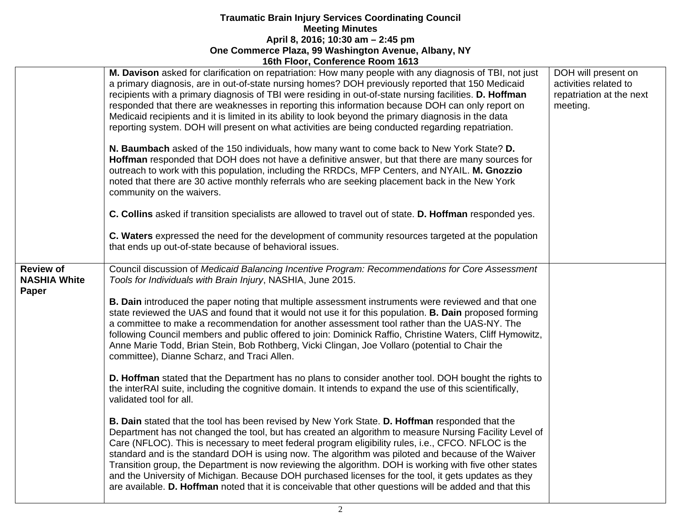|                                                         | <u>1981 - 1991, OUINGIGHUG ROUIN 1919</u>                                                                                                                                                                                                                                                                                                                                                                                                                                                                                                                                                                                                                                                                                                                                                                                                                                                                                                                                                                                                                                                                                                                                                                                                                                                                                                                                                                                                                                                                                                                                                                                                                                                                                                                                |                                                                                      |
|---------------------------------------------------------|--------------------------------------------------------------------------------------------------------------------------------------------------------------------------------------------------------------------------------------------------------------------------------------------------------------------------------------------------------------------------------------------------------------------------------------------------------------------------------------------------------------------------------------------------------------------------------------------------------------------------------------------------------------------------------------------------------------------------------------------------------------------------------------------------------------------------------------------------------------------------------------------------------------------------------------------------------------------------------------------------------------------------------------------------------------------------------------------------------------------------------------------------------------------------------------------------------------------------------------------------------------------------------------------------------------------------------------------------------------------------------------------------------------------------------------------------------------------------------------------------------------------------------------------------------------------------------------------------------------------------------------------------------------------------------------------------------------------------------------------------------------------------|--------------------------------------------------------------------------------------|
|                                                         | M. Davison asked for clarification on repatriation: How many people with any diagnosis of TBI, not just<br>a primary diagnosis, are in out-of-state nursing homes? DOH previously reported that 150 Medicaid<br>recipients with a primary diagnosis of TBI were residing in out-of-state nursing facilities. D. Hoffman<br>responded that there are weaknesses in reporting this information because DOH can only report on<br>Medicaid recipients and it is limited in its ability to look beyond the primary diagnosis in the data<br>reporting system. DOH will present on what activities are being conducted regarding repatriation.<br>N. Baumbach asked of the 150 individuals, how many want to come back to New York State? D.<br><b>Hoffman</b> responded that DOH does not have a definitive answer, but that there are many sources for<br>outreach to work with this population, including the RRDCs, MFP Centers, and NYAIL. M. Gnozzio<br>noted that there are 30 active monthly referrals who are seeking placement back in the New York<br>community on the waivers.<br>C. Collins asked if transition specialists are allowed to travel out of state. D. Hoffman responded yes.<br>C. Waters expressed the need for the development of community resources targeted at the population<br>that ends up out-of-state because of behavioral issues.                                                                                                                                                                                                                                                                                                                                                                                                       | DOH will present on<br>activities related to<br>repatriation at the next<br>meeting. |
| <b>Review of</b><br><b>NASHIA White</b><br><b>Paper</b> | Council discussion of Medicaid Balancing Incentive Program: Recommendations for Core Assessment<br>Tools for Individuals with Brain Injury, NASHIA, June 2015.<br><b>B. Dain</b> introduced the paper noting that multiple assessment instruments were reviewed and that one<br>state reviewed the UAS and found that it would not use it for this population. <b>B. Dain</b> proposed forming<br>a committee to make a recommendation for another assessment tool rather than the UAS-NY. The<br>following Council members and public offered to join: Dominick Raffio, Christine Waters, Cliff Hymowitz,<br>Anne Marie Todd, Brian Stein, Bob Rothberg, Vicki Clingan, Joe Vollaro (potential to Chair the<br>committee), Dianne Scharz, and Traci Allen.<br>D. Hoffman stated that the Department has no plans to consider another tool. DOH bought the rights to<br>the interRAI suite, including the cognitive domain. It intends to expand the use of this scientifically,<br>validated tool for all.<br><b>B. Dain stated that the tool has been revised by New York State. D. Hoffman responded that the</b><br>Department has not changed the tool, but has created an algorithm to measure Nursing Facility Level of<br>Care (NFLOC). This is necessary to meet federal program eligibility rules, i.e., CFCO. NFLOC is the<br>standard and is the standard DOH is using now. The algorithm was piloted and because of the Waiver<br>Transition group, the Department is now reviewing the algorithm. DOH is working with five other states<br>and the University of Michigan. Because DOH purchased licenses for the tool, it gets updates as they<br>are available. D. Hoffman noted that it is conceivable that other questions will be added and that this |                                                                                      |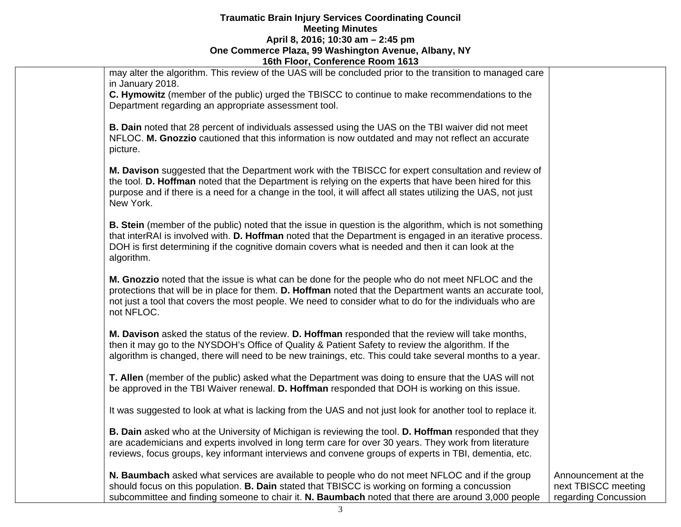| 16th Floor, Conference Room 1613 |                                                                                                                                                                                                                                                                                                                                              |                                                                    |
|----------------------------------|----------------------------------------------------------------------------------------------------------------------------------------------------------------------------------------------------------------------------------------------------------------------------------------------------------------------------------------------|--------------------------------------------------------------------|
|                                  | may alter the algorithm. This review of the UAS will be concluded prior to the transition to managed care<br>in January 2018.                                                                                                                                                                                                                |                                                                    |
|                                  | C. Hymowitz (member of the public) urged the TBISCC to continue to make recommendations to the<br>Department regarding an appropriate assessment tool.                                                                                                                                                                                       |                                                                    |
|                                  | <b>B. Dain</b> noted that 28 percent of individuals assessed using the UAS on the TBI waiver did not meet<br>NFLOC. M. Gnozzio cautioned that this information is now outdated and may not reflect an accurate<br>picture.                                                                                                                   |                                                                    |
|                                  | M. Davison suggested that the Department work with the TBISCC for expert consultation and review of<br>the tool. D. Hoffman noted that the Department is relying on the experts that have been hired for this<br>purpose and if there is a need for a change in the tool, it will affect all states utilizing the UAS, not just<br>New York. |                                                                    |
|                                  | B. Stein (member of the public) noted that the issue in question is the algorithm, which is not something<br>that interRAI is involved with. D. Hoffman noted that the Department is engaged in an iterative process.<br>DOH is first determining if the cognitive domain covers what is needed and then it can look at the<br>algorithm.    |                                                                    |
|                                  | M. Gnozzio noted that the issue is what can be done for the people who do not meet NFLOC and the<br>protections that will be in place for them. D. Hoffman noted that the Department wants an accurate tool,<br>not just a tool that covers the most people. We need to consider what to do for the individuals who are<br>not NFLOC.        |                                                                    |
|                                  | M. Davison asked the status of the review. D. Hoffman responded that the review will take months,<br>then it may go to the NYSDOH's Office of Quality & Patient Safety to review the algorithm. If the<br>algorithm is changed, there will need to be new trainings, etc. This could take several months to a year.                          |                                                                    |
|                                  | T. Allen (member of the public) asked what the Department was doing to ensure that the UAS will not<br>be approved in the TBI Waiver renewal. D. Hoffman responded that DOH is working on this issue.                                                                                                                                        |                                                                    |
|                                  | It was suggested to look at what is lacking from the UAS and not just look for another tool to replace it.                                                                                                                                                                                                                                   |                                                                    |
|                                  | B. Dain asked who at the University of Michigan is reviewing the tool. D. Hoffman responded that they<br>are academicians and experts involved in long term care for over 30 years. They work from literature<br>reviews, focus groups, key informant interviews and convene groups of experts in TBI, dementia, etc.                        |                                                                    |
|                                  | N. Baumbach asked what services are available to people who do not meet NFLOC and if the group<br>should focus on this population. B. Dain stated that TBISCC is working on forming a concussion<br>subcommittee and finding someone to chair it. N. Baumbach noted that there are around 3,000 people                                       | Announcement at the<br>next TBISCC meeting<br>regarding Concussion |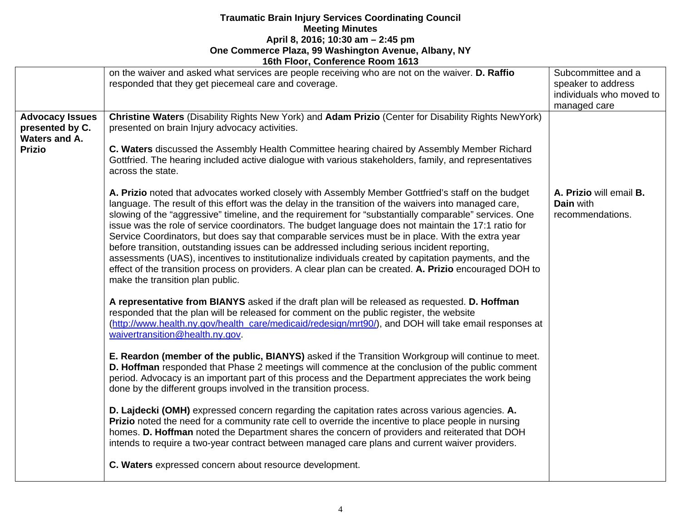|                                                                             | on the waiver and asked what services are people receiving who are not on the waiver. D. Raffio<br>responded that they get piecemeal care and coverage.                                                                                                                                                                                                                                                                                                                                                                                                                                                                                                                                                                                                                                                                                                                                    | Subcommittee and a<br>speaker to address<br>individuals who moved to<br>managed care |
|-----------------------------------------------------------------------------|--------------------------------------------------------------------------------------------------------------------------------------------------------------------------------------------------------------------------------------------------------------------------------------------------------------------------------------------------------------------------------------------------------------------------------------------------------------------------------------------------------------------------------------------------------------------------------------------------------------------------------------------------------------------------------------------------------------------------------------------------------------------------------------------------------------------------------------------------------------------------------------------|--------------------------------------------------------------------------------------|
| <b>Advocacy Issues</b><br>presented by C.<br>Waters and A.<br><b>Prizio</b> | Christine Waters (Disability Rights New York) and Adam Prizio (Center for Disability Rights New York)<br>presented on brain Injury advocacy activities.<br>C. Waters discussed the Assembly Health Committee hearing chaired by Assembly Member Richard                                                                                                                                                                                                                                                                                                                                                                                                                                                                                                                                                                                                                                    |                                                                                      |
|                                                                             | Gottfried. The hearing included active dialogue with various stakeholders, family, and representatives<br>across the state.                                                                                                                                                                                                                                                                                                                                                                                                                                                                                                                                                                                                                                                                                                                                                                |                                                                                      |
|                                                                             | A. Prizio noted that advocates worked closely with Assembly Member Gottfried's staff on the budget<br>language. The result of this effort was the delay in the transition of the waivers into managed care,<br>slowing of the "aggressive" timeline, and the requirement for "substantially comparable" services. One<br>issue was the role of service coordinators. The budget language does not maintain the 17:1 ratio for<br>Service Coordinators, but does say that comparable services must be in place. With the extra year<br>before transition, outstanding issues can be addressed including serious incident reporting,<br>assessments (UAS), incentives to institutionalize individuals created by capitation payments, and the<br>effect of the transition process on providers. A clear plan can be created. A. Prizio encouraged DOH to<br>make the transition plan public. | A. Prizio will email B.<br><b>Dain</b> with<br>recommendations.                      |
|                                                                             | A representative from BIANYS asked if the draft plan will be released as requested. D. Hoffman<br>responded that the plan will be released for comment on the public register, the website<br>(http://www.health.ny.gov/health_care/medicaid/redesign/mrt90/), and DOH will take email responses at<br>waivertransition@health.ny.gov.                                                                                                                                                                                                                                                                                                                                                                                                                                                                                                                                                     |                                                                                      |
|                                                                             | E. Reardon (member of the public, BIANYS) asked if the Transition Workgroup will continue to meet.<br>D. Hoffman responded that Phase 2 meetings will commence at the conclusion of the public comment<br>period. Advocacy is an important part of this process and the Department appreciates the work being<br>done by the different groups involved in the transition process.                                                                                                                                                                                                                                                                                                                                                                                                                                                                                                          |                                                                                      |
|                                                                             | D. Lajdecki (OMH) expressed concern regarding the capitation rates across various agencies. A.<br>Prizio noted the need for a community rate cell to override the incentive to place people in nursing<br>homes. D. Hoffman noted the Department shares the concern of providers and reiterated that DOH<br>intends to require a two-year contract between managed care plans and current waiver providers.                                                                                                                                                                                                                                                                                                                                                                                                                                                                                |                                                                                      |
|                                                                             | C. Waters expressed concern about resource development.                                                                                                                                                                                                                                                                                                                                                                                                                                                                                                                                                                                                                                                                                                                                                                                                                                    |                                                                                      |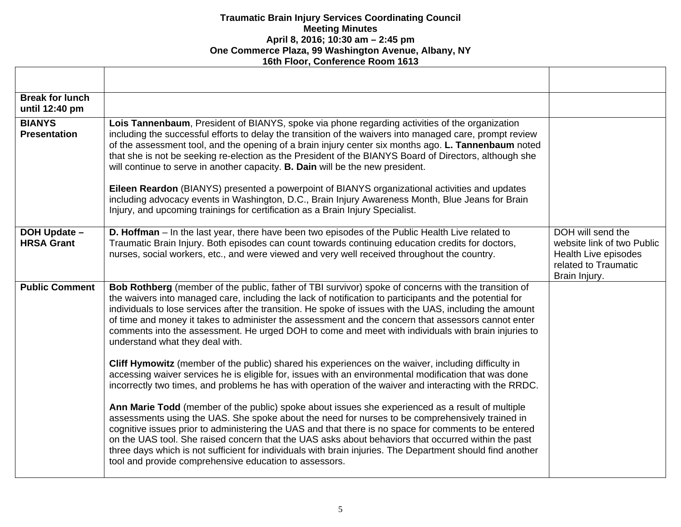| <b>Break for lunch</b><br>until 12:40 pm |                                                                                                                                                                                                                                                                                                                                                                                                                                                                                                                                                                                                                                                                                                                                                                                                         |                                                                                                                  |
|------------------------------------------|---------------------------------------------------------------------------------------------------------------------------------------------------------------------------------------------------------------------------------------------------------------------------------------------------------------------------------------------------------------------------------------------------------------------------------------------------------------------------------------------------------------------------------------------------------------------------------------------------------------------------------------------------------------------------------------------------------------------------------------------------------------------------------------------------------|------------------------------------------------------------------------------------------------------------------|
| <b>BIANYS</b><br><b>Presentation</b>     | Lois Tannenbaum, President of BIANYS, spoke via phone regarding activities of the organization<br>including the successful efforts to delay the transition of the waivers into managed care, prompt review<br>of the assessment tool, and the opening of a brain injury center six months ago. L. Tannenbaum noted<br>that she is not be seeking re-election as the President of the BIANYS Board of Directors, although she<br>will continue to serve in another capacity. B. Dain will be the new president.<br>Eileen Reardon (BIANYS) presented a powerpoint of BIANYS organizational activities and updates<br>including advocacy events in Washington, D.C., Brain Injury Awareness Month, Blue Jeans for Brain<br>Injury, and upcoming trainings for certification as a Brain Injury Specialist. |                                                                                                                  |
| <b>DOH Update -</b><br><b>HRSA Grant</b> | D. Hoffman - In the last year, there have been two episodes of the Public Health Live related to<br>Traumatic Brain Injury. Both episodes can count towards continuing education credits for doctors,<br>nurses, social workers, etc., and were viewed and very well received throughout the country.                                                                                                                                                                                                                                                                                                                                                                                                                                                                                                   | DOH will send the<br>website link of two Public<br>Health Live episodes<br>related to Traumatic<br>Brain Injury. |
| <b>Public Comment</b>                    | Bob Rothberg (member of the public, father of TBI survivor) spoke of concerns with the transition of<br>the waivers into managed care, including the lack of notification to participants and the potential for<br>individuals to lose services after the transition. He spoke of issues with the UAS, including the amount<br>of time and money it takes to administer the assessment and the concern that assessors cannot enter<br>comments into the assessment. He urged DOH to come and meet with individuals with brain injuries to<br>understand what they deal with.                                                                                                                                                                                                                            |                                                                                                                  |
|                                          | Cliff Hymowitz (member of the public) shared his experiences on the waiver, including difficulty in<br>accessing waiver services he is eligible for, issues with an environmental modification that was done<br>incorrectly two times, and problems he has with operation of the waiver and interacting with the RRDC.                                                                                                                                                                                                                                                                                                                                                                                                                                                                                  |                                                                                                                  |
|                                          | Ann Marie Todd (member of the public) spoke about issues she experienced as a result of multiple<br>assessments using the UAS. She spoke about the need for nurses to be comprehensively trained in<br>cognitive issues prior to administering the UAS and that there is no space for comments to be entered<br>on the UAS tool. She raised concern that the UAS asks about behaviors that occurred within the past<br>three days which is not sufficient for individuals with brain injuries. The Department should find another<br>tool and provide comprehensive education to assessors.                                                                                                                                                                                                             |                                                                                                                  |